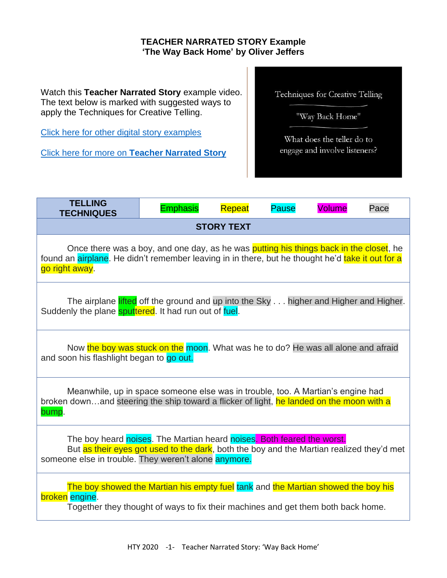## **TEACHER NARRATED STORY Example 'The Way Back Home' by Oliver Jeffers**

Watch this **Teacher Narrated Story** example video. The text below is marked with suggested ways to apply the Techniques for Creative Telling.

[Click here for other digital story examples](https://www.htyweb.org/digital-resources-for-teachers/teacher-narrated-story-drama/)

Click here for more on **[Teacher Narrated Story](https://www.htyweb.org/digital-resources-for-teachers/teacher-narrated-story-drama/)**

Techniques for Creative Telling

"Way Back Home"

What does the teller do to engage and involve listeners?

| <b>TELLING</b><br><b>TECHNIQUES</b>                                                                                                                                                                                        | <b>Emphasis</b> | Repeat | <b>Pause</b> | <b>Volume</b> | Pace |
|----------------------------------------------------------------------------------------------------------------------------------------------------------------------------------------------------------------------------|-----------------|--------|--------------|---------------|------|
| <b>STORY TEXT</b>                                                                                                                                                                                                          |                 |        |              |               |      |
| Once there was a boy, and one day, as he was putting his things back in the closet, he<br>found an airplane. He didn't remember leaving in in there, but he thought he'd take it out for a<br>go right away.               |                 |        |              |               |      |
| The airplane lifted off the ground and up into the Sky higher and Higher and Higher.<br>Suddenly the plane <b>sputtered</b> . It had run out of fuel.                                                                      |                 |        |              |               |      |
| Now the boy was stuck on the moon. What was he to do? He was all alone and afraid<br>and soon his flashlight began to go out.                                                                                              |                 |        |              |               |      |
| Meanwhile, up in space someone else was in trouble, too. A Martian's engine had<br>broken downand steering the ship toward a flicker of light, he landed on the moon with a<br>bump.                                       |                 |        |              |               |      |
| The boy heard noises. The Martian heard noises. Both feared the worst.<br>But as their eyes got used to the dark, both the boy and the Martian realized they'd met<br>someone else in trouble. They weren't alone anymore. |                 |        |              |               |      |
| The boy showed the Martian his empty fuel tank and the Martian showed the boy his<br>broken engine.<br>Together they thought of ways to fix their machines and get them both back home.                                    |                 |        |              |               |      |